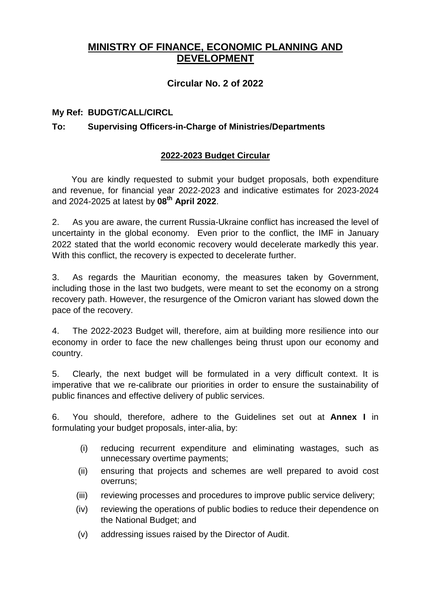## **MINISTRY OF FINANCE, ECONOMIC PLANNING AND DEVELOPMENT**

### **Circular No. 2 of 2022**

### **My Ref: BUDGT/CALL/CIRCL**

### **To: Supervising Officers-in-Charge of Ministries/Departments**

### **2022-2023 Budget Circular**

You are kindly requested to submit your budget proposals, both expenditure and revenue, for financial year 2022-2023 and indicative estimates for 2023-2024 and 2024-2025 at latest by **08th April 2022**.

2. As you are aware, the current Russia-Ukraine conflict has increased the level of uncertainty in the global economy. Even prior to the conflict, the IMF in January 2022 stated that the world economic recovery would decelerate markedly this year. With this conflict, the recovery is expected to decelerate further.

3. As regards the Mauritian economy, the measures taken by Government, including those in the last two budgets, were meant to set the economy on a strong recovery path. However, the resurgence of the Omicron variant has slowed down the pace of the recovery.

4. The 2022-2023 Budget will, therefore, aim at building more resilience into our economy in order to face the new challenges being thrust upon our economy and country.

5. Clearly, the next budget will be formulated in a very difficult context. It is imperative that we re-calibrate our priorities in order to ensure the sustainability of public finances and effective delivery of public services.

6. You should, therefore, adhere to the Guidelines set out at **Annex I** in formulating your budget proposals, inter-alia, by:

- (i) reducing recurrent expenditure and eliminating wastages, such as unnecessary overtime payments;
- (ii) ensuring that projects and schemes are well prepared to avoid cost overruns;
- (iii) reviewing processes and procedures to improve public service delivery;
- (iv) reviewing the operations of public bodies to reduce their dependence on the National Budget; and
- (v) addressing issues raised by the Director of Audit.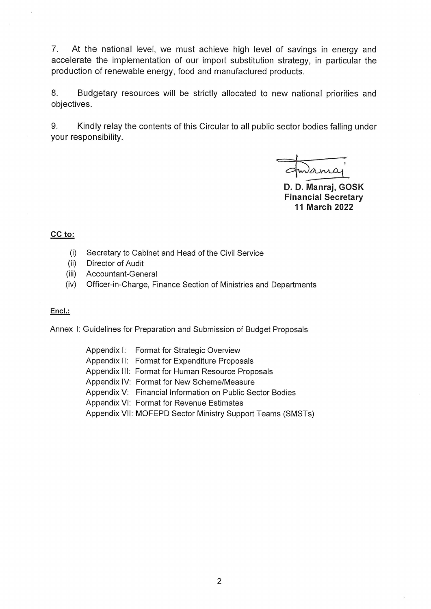7. At the national level, we must achieve high level of savings in energy and accelerate the implementation of our import substitution strategy, in particular the production of renewable energy, food and manufactured products.

8. Budgetary resources will be strictly allocated to new national priorities and objectives.

9. Kindly relay the contents of this Circular to all public sector bodies falling under your responsibility.

Jana

D. D. Manraj, GOSK **Financial Secretary 11 March 2022** 

#### CC to:

- $(i)$ Secretary to Cabinet and Head of the Civil Service
- $(ii)$ Director of Audit
- Accountant-General  $(iii)$
- Officer-in-Charge, Finance Section of Ministries and Departments  $(iv)$

#### Encl.:

Annex I: Guidelines for Preparation and Submission of Budget Proposals

| Appendix I: Format for Strategic Overview                  |
|------------------------------------------------------------|
| Appendix II: Format for Expenditure Proposals              |
| Appendix III: Format for Human Resource Proposals          |
| Appendix IV: Format for New Scheme/Measure                 |
| Appendix V: Financial Information on Public Sector Bodies  |
| Appendix VI: Format for Revenue Estimates                  |
| Appendix VII: MOFEPD Sector Ministry Support Teams (SMSTs) |
|                                                            |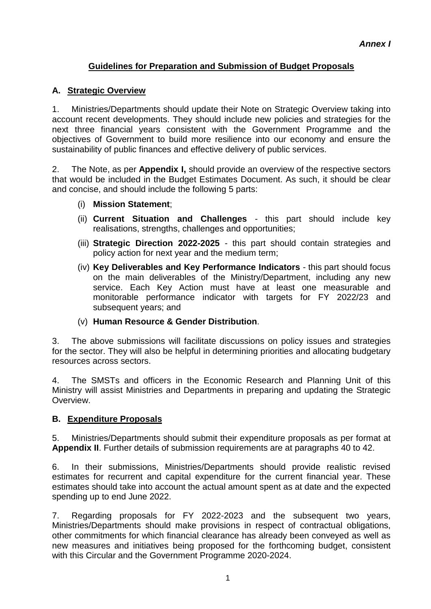## **Guidelines for Preparation and Submission of Budget Proposals**

### **A. Strategic Overview**

1. Ministries/Departments should update their Note on Strategic Overview taking into account recent developments. They should include new policies and strategies for the next three financial years consistent with the Government Programme and the objectives of Government to build more resilience into our economy and ensure the sustainability of public finances and effective delivery of public services.

2. The Note, as per **Appendix I,** should provide an overview of the respective sectors that would be included in the Budget Estimates Document. As such, it should be clear and concise, and should include the following 5 parts:

- (i) **Mission Statement**;
- (ii) **Current Situation and Challenges** this part should include key realisations, strengths, challenges and opportunities;
- (iii) **Strategic Direction 2022-2025** this part should contain strategies and policy action for next year and the medium term;
- (iv) **Key Deliverables and Key Performance Indicators** this part should focus on the main deliverables of the Ministry/Department, including any new service. Each Key Action must have at least one measurable and monitorable performance indicator with targets for FY 2022/23 and subsequent years; and
- (v) **Human Resource & Gender Distribution**.

3. The above submissions will facilitate discussions on policy issues and strategies for the sector. They will also be helpful in determining priorities and allocating budgetary resources across sectors.

4. The SMSTs and officers in the Economic Research and Planning Unit of this Ministry will assist Ministries and Departments in preparing and updating the Strategic Overview.

### **B. Expenditure Proposals**

5. Ministries/Departments should submit their expenditure proposals as per format at **Appendix II**. Further details of submission requirements are at paragraphs 40 to 42.

6. In their submissions, Ministries/Departments should provide realistic revised estimates for recurrent and capital expenditure for the current financial year. These estimates should take into account the actual amount spent as at date and the expected spending up to end June 2022.

7. Regarding proposals for FY 2022-2023 and the subsequent two years, Ministries/Departments should make provisions in respect of contractual obligations, other commitments for which financial clearance has already been conveyed as well as new measures and initiatives being proposed for the forthcoming budget, consistent with this Circular and the Government Programme 2020-2024.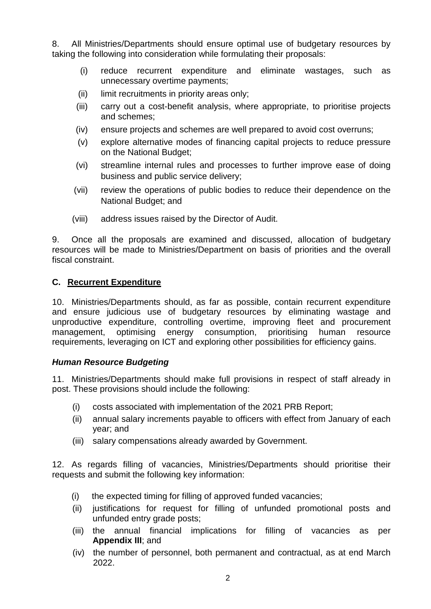8. All Ministries/Departments should ensure optimal use of budgetary resources by taking the following into consideration while formulating their proposals:

- (i) reduce recurrent expenditure and eliminate wastages, such as unnecessary overtime payments;
- (ii) limit recruitments in priority areas only:
- (iii) carry out a cost-benefit analysis, where appropriate, to prioritise projects and schemes;
- (iv) ensure projects and schemes are well prepared to avoid cost overruns;
- (v) explore alternative modes of financing capital projects to reduce pressure on the National Budget;
- (vi) streamline internal rules and processes to further improve ease of doing business and public service delivery;
- (vii) review the operations of public bodies to reduce their dependence on the National Budget; and
- (viii) address issues raised by the Director of Audit.

9. Once all the proposals are examined and discussed, allocation of budgetary resources will be made to Ministries/Department on basis of priorities and the overall fiscal constraint.

### **C. Recurrent Expenditure**

10. Ministries/Departments should, as far as possible, contain recurrent expenditure and ensure judicious use of budgetary resources by eliminating wastage and unproductive expenditure, controlling overtime, improving fleet and procurement management, optimising energy consumption, prioritising human resource requirements, leveraging on ICT and exploring other possibilities for efficiency gains.

### *Human Resource Budgeting*

11. Ministries/Departments should make full provisions in respect of staff already in post. These provisions should include the following:

- (i) costs associated with implementation of the 2021 PRB Report;
- (ii) annual salary increments payable to officers with effect from January of each year; and
- (iii) salary compensations already awarded by Government.

12. As regards filling of vacancies, Ministries/Departments should prioritise their requests and submit the following key information:

- (i) the expected timing for filling of approved funded vacancies;
- (ii) justifications for request for filling of unfunded promotional posts and unfunded entry grade posts;
- (iii) the annual financial implications for filling of vacancies as per **Appendix III**; and
- (iv) the number of personnel, both permanent and contractual, as at end March 2022.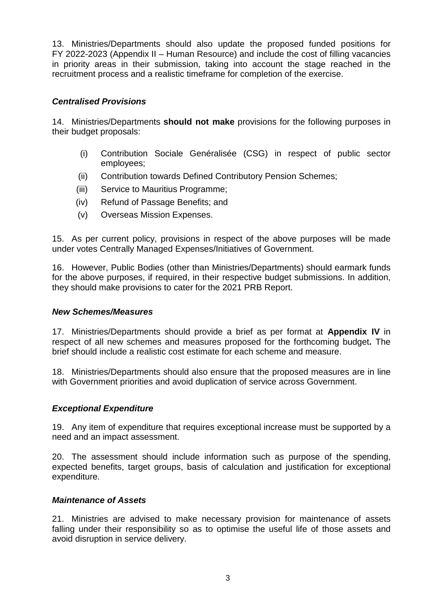13. Ministries/Departments should also update the proposed funded positions for FY 2022-2023 (Appendix II – Human Resource) and include the cost of filling vacancies in priority areas in their submission, taking into account the stage reached in the recruitment process and a realistic timeframe for completion of the exercise.

### *Centralised Provisions*

14. Ministries/Departments **should not make** provisions for the following purposes in their budget proposals:

- (i) Contribution Sociale Genéralisée (CSG) in respect of public sector employees;
- (ii) Contribution towards Defined Contributory Pension Schemes;
- (iii) Service to Mauritius Programme;
- (iv) Refund of Passage Benefits; and
- (v) Overseas Mission Expenses.

15. As per current policy, provisions in respect of the above purposes will be made under votes Centrally Managed Expenses/Initiatives of Government.

16. However, Public Bodies (other than Ministries/Departments) should earmark funds for the above purposes, if required, in their respective budget submissions. In addition, they should make provisions to cater for the 2021 PRB Report.

### *New Schemes/Measures*

17. Ministries/Departments should provide a brief as per format at **Appendix IV** in respect of all new schemes and measures proposed for the forthcoming budget**.** The brief should include a realistic cost estimate for each scheme and measure.

18. Ministries/Departments should also ensure that the proposed measures are in line with Government priorities and avoid duplication of service across Government.

### *Exceptional Expenditure*

19. Any item of expenditure that requires exceptional increase must be supported by a need and an impact assessment.

20. The assessment should include information such as purpose of the spending, expected benefits, target groups, basis of calculation and justification for exceptional expenditure.

### *Maintenance of Assets*

21. Ministries are advised to make necessary provision for maintenance of assets falling under their responsibility so as to optimise the useful life of those assets and avoid disruption in service delivery.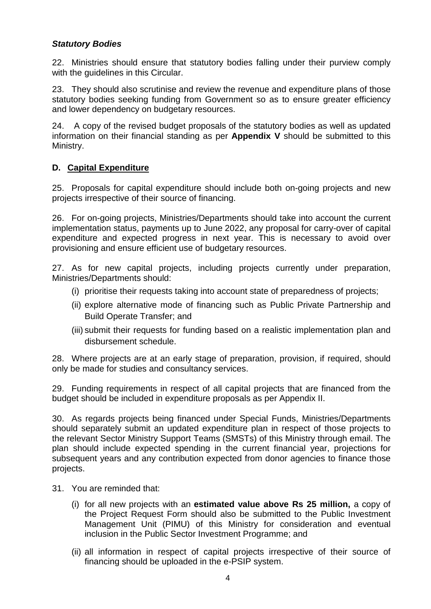### *Statutory Bodies*

22. Ministries should ensure that statutory bodies falling under their purview comply with the guidelines in this Circular.

23. They should also scrutinise and review the revenue and expenditure plans of those statutory bodies seeking funding from Government so as to ensure greater efficiency and lower dependency on budgetary resources.

24. A copy of the revised budget proposals of the statutory bodies as well as updated information on their financial standing as per **Appendix V** should be submitted to this Ministry.

### **D. Capital Expenditure**

25. Proposals for capital expenditure should include both on-going projects and new projects irrespective of their source of financing.

26. For on-going projects, Ministries/Departments should take into account the current implementation status, payments up to June 2022, any proposal for carry-over of capital expenditure and expected progress in next year. This is necessary to avoid over provisioning and ensure efficient use of budgetary resources.

27. As for new capital projects, including projects currently under preparation, Ministries/Departments should:

- (i) prioritise their requests taking into account state of preparedness of projects;
- (ii) explore alternative mode of financing such as Public Private Partnership and Build Operate Transfer; and
- (iii) submit their requests for funding based on a realistic implementation plan and disbursement schedule.

28. Where projects are at an early stage of preparation, provision, if required, should only be made for studies and consultancy services.

29. Funding requirements in respect of all capital projects that are financed from the budget should be included in expenditure proposals as per Appendix II.

30. As regards projects being financed under Special Funds, Ministries/Departments should separately submit an updated expenditure plan in respect of those projects to the relevant Sector Ministry Support Teams (SMSTs) of this Ministry through email. The plan should include expected spending in the current financial year, projections for subsequent years and any contribution expected from donor agencies to finance those projects.

- 31. You are reminded that:
	- (i) for all new projects with an **estimated value above Rs 25 million,** a copy of the Project Request Form should also be submitted to the Public Investment Management Unit (PIMU) of this Ministry for consideration and eventual inclusion in the Public Sector Investment Programme; and
	- (ii) all information in respect of capital projects irrespective of their source of financing should be uploaded in the e-PSIP system.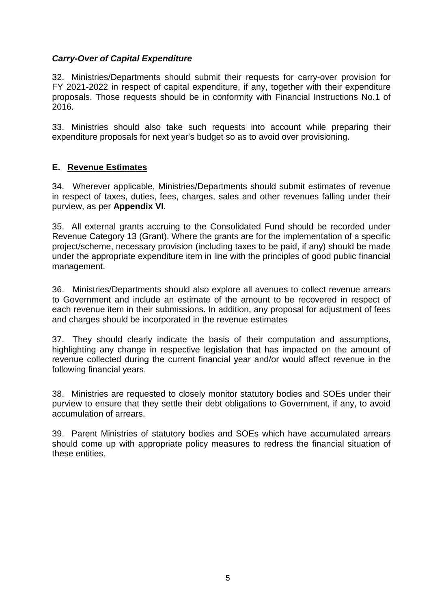### *Carry-Over of Capital Expenditure*

32. Ministries/Departments should submit their requests for carry-over provision for FY 2021-2022 in respect of capital expenditure, if any, together with their expenditure proposals. Those requests should be in conformity with Financial Instructions No.1 of 2016.

33. Ministries should also take such requests into account while preparing their expenditure proposals for next year's budget so as to avoid over provisioning.

### **E. Revenue Estimates**

34. Wherever applicable, Ministries/Departments should submit estimates of revenue in respect of taxes, duties, fees, charges, sales and other revenues falling under their purview, as per **Appendix VI**.

35. All external grants accruing to the Consolidated Fund should be recorded under Revenue Category 13 (Grant). Where the grants are for the implementation of a specific project/scheme, necessary provision (including taxes to be paid, if any) should be made under the appropriate expenditure item in line with the principles of good public financial management.

36. Ministries/Departments should also explore all avenues to collect revenue arrears to Government and include an estimate of the amount to be recovered in respect of each revenue item in their submissions. In addition, any proposal for adjustment of fees and charges should be incorporated in the revenue estimates

37. They should clearly indicate the basis of their computation and assumptions, highlighting any change in respective legislation that has impacted on the amount of revenue collected during the current financial year and/or would affect revenue in the following financial years.

38. Ministries are requested to closely monitor statutory bodies and SOEs under their purview to ensure that they settle their debt obligations to Government, if any, to avoid accumulation of arrears.

39. Parent Ministries of statutory bodies and SOEs which have accumulated arrears should come up with appropriate policy measures to redress the financial situation of these entities.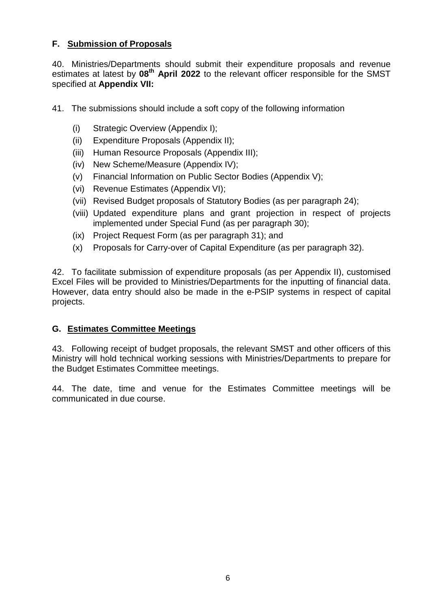### **F. Submission of Proposals**

40. Ministries/Departments should submit their expenditure proposals and revenue estimates at latest by **08th April 2022** to the relevant officer responsible for the SMST specified at **Appendix VII:**

- 41. The submissions should include a soft copy of the following information
	- (i) Strategic Overview (Appendix I);
	- (ii) Expenditure Proposals (Appendix II);
	- (iii) Human Resource Proposals (Appendix III);
	- (iv) New Scheme/Measure (Appendix IV);
	- (v) Financial Information on Public Sector Bodies (Appendix V);
	- (vi) Revenue Estimates (Appendix VI);
	- (vii) Revised Budget proposals of Statutory Bodies (as per paragraph 24);
	- (viii) Updated expenditure plans and grant projection in respect of projects implemented under Special Fund (as per paragraph 30);
	- (ix) Project Request Form (as per paragraph 31); and
	- (x) Proposals for Carry-over of Capital Expenditure (as per paragraph 32).

42. To facilitate submission of expenditure proposals (as per Appendix II), customised Excel Files will be provided to Ministries/Departments for the inputting of financial data. However, data entry should also be made in the e-PSIP systems in respect of capital projects.

### **G. Estimates Committee Meetings**

43. Following receipt of budget proposals, the relevant SMST and other officers of this Ministry will hold technical working sessions with Ministries/Departments to prepare for the Budget Estimates Committee meetings.

44. The date, time and venue for the Estimates Committee meetings will be communicated in due course.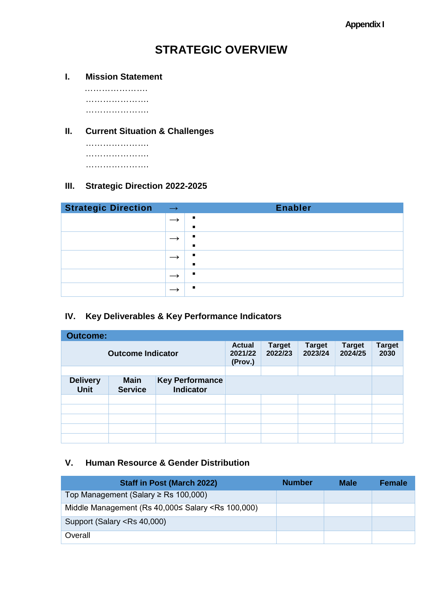# **STRATEGIC OVERVIEW**

**I. Mission Statement**

 …………………. …………………. ………………….

### **II. Current Situation & Challenges**

…………………. …………………. ………………….

### **III. Strategic Direction 2022-2025**

| <b>Strategic Direction</b> | $\longrightarrow$ | <b>Enabler</b>                   |
|----------------------------|-------------------|----------------------------------|
|                            |                   |                                  |
|                            |                   | $\blacksquare$<br>$\blacksquare$ |
|                            |                   | л                                |
|                            |                   | п.                               |
|                            |                   |                                  |

### **IV. Key Deliverables & Key Performance Indicators**

| <b>Outcome:</b>                |                               |                                            |                                     |                          |                          |                          |                       |  |  |  |  |  |
|--------------------------------|-------------------------------|--------------------------------------------|-------------------------------------|--------------------------|--------------------------|--------------------------|-----------------------|--|--|--|--|--|
|                                | <b>Outcome Indicator</b>      |                                            | <b>Actual</b><br>2021/22<br>(Prov.) | <b>Target</b><br>2022/23 | <b>Target</b><br>2023/24 | <b>Target</b><br>2024/25 | <b>Target</b><br>2030 |  |  |  |  |  |
|                                |                               |                                            |                                     |                          |                          |                          |                       |  |  |  |  |  |
| <b>Delivery</b><br><b>Unit</b> | <b>Main</b><br><b>Service</b> | <b>Key Performance</b><br><b>Indicator</b> |                                     |                          |                          |                          |                       |  |  |  |  |  |
|                                |                               |                                            |                                     |                          |                          |                          |                       |  |  |  |  |  |
|                                |                               |                                            |                                     |                          |                          |                          |                       |  |  |  |  |  |
|                                |                               |                                            |                                     |                          |                          |                          |                       |  |  |  |  |  |
|                                |                               |                                            |                                     |                          |                          |                          |                       |  |  |  |  |  |
|                                |                               |                                            |                                     |                          |                          |                          |                       |  |  |  |  |  |

### **V. Human Resource & Gender Distribution**

| <b>Staff in Post (March 2022)</b>                                                            | <b>Number</b> | <b>Male</b> | <b>Female</b> |
|----------------------------------------------------------------------------------------------|---------------|-------------|---------------|
| Top Management (Salary $\ge$ Rs 100,000)                                                     |               |             |               |
| Middle Management (Rs 40,000≤ Salary <rs 100,000)<="" td=""><td></td><td></td><td></td></rs> |               |             |               |
| Support (Salary <rs 40,000)<="" td=""><td></td><td></td><td></td></rs>                       |               |             |               |
| Overall                                                                                      |               |             |               |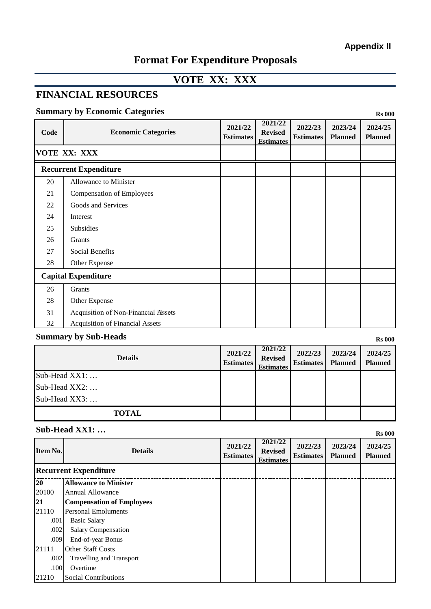# **Format For Expenditure Proposals**

# **VOTE XX: XXX**

# **FINANCIAL RESOURCES**

### **Summary by Economic Categories** Rs 000

| Code | <b>Economic Categories</b>             | 2021/22<br><b>Estimates</b> | 2021/22<br><b>Revised</b><br><b>Estimates</b> | 2022/23<br><b>Estimates</b> | 2023/24<br><b>Planned</b> | 2024/25<br><b>Planned</b> |
|------|----------------------------------------|-----------------------------|-----------------------------------------------|-----------------------------|---------------------------|---------------------------|
|      | VOTE XX: XXX                           |                             |                                               |                             |                           |                           |
|      | <b>Recurrent Expenditure</b>           |                             |                                               |                             |                           |                           |
| 20   | Allowance to Minister                  |                             |                                               |                             |                           |                           |
| 21   | <b>Compensation of Employees</b>       |                             |                                               |                             |                           |                           |
| 22   | Goods and Services                     |                             |                                               |                             |                           |                           |
| 24   | Interest                               |                             |                                               |                             |                           |                           |
| 25   | <b>Subsidies</b>                       |                             |                                               |                             |                           |                           |
| 26   | Grants                                 |                             |                                               |                             |                           |                           |
| 27   | Social Benefits                        |                             |                                               |                             |                           |                           |
| 28   | Other Expense                          |                             |                                               |                             |                           |                           |
|      | <b>Capital Expenditure</b>             |                             |                                               |                             |                           |                           |
| 26   | Grants                                 |                             |                                               |                             |                           |                           |
| 28   | Other Expense                          |                             |                                               |                             |                           |                           |
| 31   | Acquisition of Non-Financial Assets    |                             |                                               |                             |                           |                           |
| 32   | <b>Acquisition of Financial Assets</b> |                             |                                               |                             |                           |                           |

### **Summary by Sub-Heads** Rs 000

| <b>Details</b>               | 2021/22<br><b>Estimates</b> | 2021/22<br><b>Revised</b><br><b>Estimates</b> | 2022/23<br><b>Estimates</b> | 2023/24<br><b>Planned</b> | 2024/25<br><b>Planned</b> |
|------------------------------|-----------------------------|-----------------------------------------------|-----------------------------|---------------------------|---------------------------|
| $\text{Sub-Head XX1:} \dots$ |                             |                                               |                             |                           |                           |
| Sub-Head $XX2$ :             |                             |                                               |                             |                           |                           |
| Sub-Head XX3:                |                             |                                               |                             |                           |                           |
| <b>TOTAL</b>                 |                             |                                               |                             |                           |                           |

# **Sub-Head XX1:** ... **Rs** 000

| Item No. | <b>Details</b>                   | 2021/22<br><b>Estimates</b> | 2021/22<br><b>Revised</b><br><b>Estimates</b> | 2022/23<br><b>Estimates</b> | 2023/24<br><b>Planned</b> | 2024/25<br><b>Planned</b> |
|----------|----------------------------------|-----------------------------|-----------------------------------------------|-----------------------------|---------------------------|---------------------------|
|          | <b>Recurrent Expenditure</b>     |                             |                                               |                             |                           |                           |
| 20       | <b>Allowance to Minister</b>     |                             |                                               |                             |                           |                           |
| 20100    | <b>Annual Allowance</b>          |                             |                                               |                             |                           |                           |
| 21       | <b>Compensation of Employees</b> |                             |                                               |                             |                           |                           |
| 21110    | <b>Personal Emoluments</b>       |                             |                                               |                             |                           |                           |
| .001     | <b>Basic Salary</b>              |                             |                                               |                             |                           |                           |
| .002     | Salary Compensation              |                             |                                               |                             |                           |                           |
| .009     | End-of-year Bonus                |                             |                                               |                             |                           |                           |
| 21111    | <b>Other Staff Costs</b>         |                             |                                               |                             |                           |                           |
| .002     | <b>Travelling and Transport</b>  |                             |                                               |                             |                           |                           |
| .100     | Overtime                         |                             |                                               |                             |                           |                           |
| 21210    | <b>Social Contributions</b>      |                             |                                               |                             |                           |                           |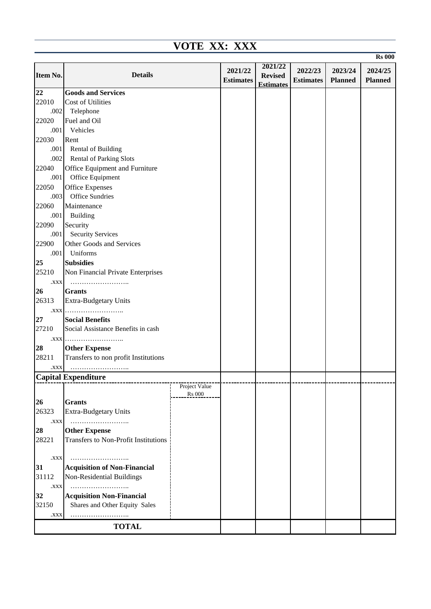| VOTE XX: XXX |                                                  |               |                  |                  |                  |                |                |  |  |  |  |
|--------------|--------------------------------------------------|---------------|------------------|------------------|------------------|----------------|----------------|--|--|--|--|
|              |                                                  |               |                  |                  |                  |                | <b>Rs</b> 000  |  |  |  |  |
|              |                                                  |               | 2021/22          | 2021/22          | 2022/23          | 2023/24        | 2024/25        |  |  |  |  |
| Item No.     | <b>Details</b>                                   |               | <b>Estimates</b> | <b>Revised</b>   | <b>Estimates</b> | <b>Planned</b> | <b>Planned</b> |  |  |  |  |
| 22           | <b>Goods and Services</b>                        |               |                  | <b>Estimates</b> |                  |                |                |  |  |  |  |
| 22010        | Cost of Utilities                                |               |                  |                  |                  |                |                |  |  |  |  |
| .002         | Telephone                                        |               |                  |                  |                  |                |                |  |  |  |  |
| 22020        | Fuel and Oil                                     |               |                  |                  |                  |                |                |  |  |  |  |
| .001         | Vehicles                                         |               |                  |                  |                  |                |                |  |  |  |  |
| 22030        | Rent                                             |               |                  |                  |                  |                |                |  |  |  |  |
| .001         | Rental of Building                               |               |                  |                  |                  |                |                |  |  |  |  |
|              | .002 Rental of Parking Slots                     |               |                  |                  |                  |                |                |  |  |  |  |
| 22040        | Office Equipment and Furniture                   |               |                  |                  |                  |                |                |  |  |  |  |
| .001         | Office Equipment                                 |               |                  |                  |                  |                |                |  |  |  |  |
|              |                                                  |               |                  |                  |                  |                |                |  |  |  |  |
| 22050        | <b>Office Expenses</b><br><b>Office Sundries</b> |               |                  |                  |                  |                |                |  |  |  |  |
| .003         |                                                  |               |                  |                  |                  |                |                |  |  |  |  |
| 22060        | Maintenance                                      |               |                  |                  |                  |                |                |  |  |  |  |
| .001         | <b>Building</b>                                  |               |                  |                  |                  |                |                |  |  |  |  |
| 22090        | Security                                         |               |                  |                  |                  |                |                |  |  |  |  |
| .001         | <b>Security Services</b>                         |               |                  |                  |                  |                |                |  |  |  |  |
| 22900        | Other Goods and Services                         |               |                  |                  |                  |                |                |  |  |  |  |
| .001         | Uniforms                                         |               |                  |                  |                  |                |                |  |  |  |  |
| 25           | <b>Subsidies</b>                                 |               |                  |                  |                  |                |                |  |  |  |  |
| 25210        | Non Financial Private Enterprises                |               |                  |                  |                  |                |                |  |  |  |  |
| .XXX         |                                                  |               |                  |                  |                  |                |                |  |  |  |  |
| 26           | <b>Grants</b>                                    |               |                  |                  |                  |                |                |  |  |  |  |
| 26313        | Extra-Budgetary Units                            |               |                  |                  |                  |                |                |  |  |  |  |
|              | .XXX                                             |               |                  |                  |                  |                |                |  |  |  |  |
| 27           | <b>Social Benefits</b>                           |               |                  |                  |                  |                |                |  |  |  |  |
| 27210        | Social Assistance Benefits in cash               |               |                  |                  |                  |                |                |  |  |  |  |
| .XXX         |                                                  |               |                  |                  |                  |                |                |  |  |  |  |
| 28           | <b>Other Expense</b>                             |               |                  |                  |                  |                |                |  |  |  |  |
| 28211        | Transfers to non profit Institutions             |               |                  |                  |                  |                |                |  |  |  |  |
| .XXX         |                                                  |               |                  |                  |                  |                |                |  |  |  |  |
|              | <b>Capital Expenditure</b>                       |               |                  |                  |                  |                |                |  |  |  |  |
|              |                                                  | Project Value |                  |                  |                  |                |                |  |  |  |  |
|              |                                                  | <b>Rs</b> 000 |                  |                  |                  |                |                |  |  |  |  |
| 26           | <b>Grants</b>                                    |               |                  |                  |                  |                |                |  |  |  |  |
| 26323        | Extra-Budgetary Units                            |               |                  |                  |                  |                |                |  |  |  |  |
| XXX.         |                                                  |               |                  |                  |                  |                |                |  |  |  |  |
| 28           | <b>Other Expense</b>                             |               |                  |                  |                  |                |                |  |  |  |  |
| 28221        | Transfers to Non-Profit Institutions             |               |                  |                  |                  |                |                |  |  |  |  |
|              |                                                  |               |                  |                  |                  |                |                |  |  |  |  |
| XXX.         |                                                  |               |                  |                  |                  |                |                |  |  |  |  |
| 31           | <b>Acquisition of Non-Financial</b>              |               |                  |                  |                  |                |                |  |  |  |  |
| 31112        | Non-Residential Buildings                        |               |                  |                  |                  |                |                |  |  |  |  |
| .XXX         | .                                                |               |                  |                  |                  |                |                |  |  |  |  |
| 32           | <b>Acquisition Non-Financial</b>                 |               |                  |                  |                  |                |                |  |  |  |  |
| 32150        | Shares and Other Equity Sales                    |               |                  |                  |                  |                |                |  |  |  |  |
| .XXX         |                                                  |               |                  |                  |                  |                |                |  |  |  |  |
|              | <b>TOTAL</b>                                     |               |                  |                  |                  |                |                |  |  |  |  |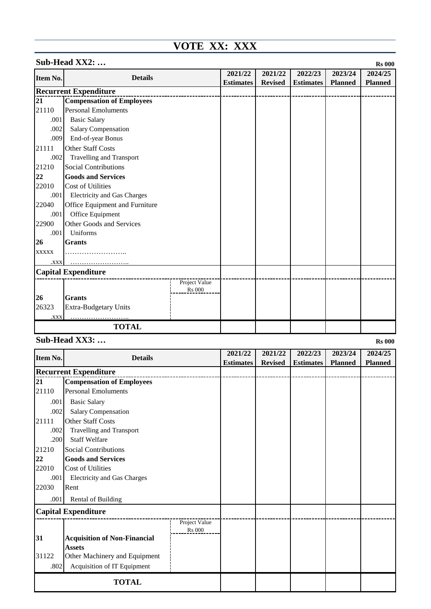# **VOTE XX: XXX**

|                 | Sub-Head XX2:<br><b>Rs 000</b>   |                  |                |                  |                |                |         |  |  |  |  |
|-----------------|----------------------------------|------------------|----------------|------------------|----------------|----------------|---------|--|--|--|--|
| <b>Item No.</b> | <b>Details</b>                   |                  | 2021/22        | 2021/22          | 2022/23        | 2023/24        | 2024/25 |  |  |  |  |
|                 |                                  | <b>Estimates</b> | <b>Revised</b> | <b>Estimates</b> | <b>Planned</b> | <b>Planned</b> |         |  |  |  |  |
|                 | <b>Recurrent Expenditure</b>     |                  |                |                  |                |                |         |  |  |  |  |
| 21              | <b>Compensation of Employees</b> |                  |                |                  |                |                |         |  |  |  |  |
| 21110           | <b>Personal Emoluments</b>       |                  |                |                  |                |                |         |  |  |  |  |
| .001            | <b>Basic Salary</b>              |                  |                |                  |                |                |         |  |  |  |  |
| .002            | Salary Compensation              |                  |                |                  |                |                |         |  |  |  |  |
| .009            | End-of-year Bonus                |                  |                |                  |                |                |         |  |  |  |  |
| 21111           | <b>Other Staff Costs</b>         |                  |                |                  |                |                |         |  |  |  |  |
| .002            | <b>Travelling and Transport</b>  |                  |                |                  |                |                |         |  |  |  |  |
| 21210           | <b>Social Contributions</b>      |                  |                |                  |                |                |         |  |  |  |  |
| 22              | <b>Goods and Services</b>        |                  |                |                  |                |                |         |  |  |  |  |
| 22010           | Cost of Utilities                |                  |                |                  |                |                |         |  |  |  |  |
| .001            | Electricity and Gas Charges      |                  |                |                  |                |                |         |  |  |  |  |
| 22040           | Office Equipment and Furniture   |                  |                |                  |                |                |         |  |  |  |  |
| .001            | Office Equipment                 |                  |                |                  |                |                |         |  |  |  |  |
| 22900           | Other Goods and Services         |                  |                |                  |                |                |         |  |  |  |  |
| .001            | Uniforms                         |                  |                |                  |                |                |         |  |  |  |  |
| 26              | <b>Grants</b>                    |                  |                |                  |                |                |         |  |  |  |  |
| <b>XXXXX</b>    | .                                |                  |                |                  |                |                |         |  |  |  |  |
| <b>XXX.</b>     |                                  |                  |                |                  |                |                |         |  |  |  |  |
|                 | <b>Capital Expenditure</b>       |                  |                |                  |                |                |         |  |  |  |  |
|                 |                                  | Project Value    |                |                  |                |                |         |  |  |  |  |
| 26              | <b>Grants</b>                    | <b>Rs</b> 000    |                |                  |                |                |         |  |  |  |  |
| 26323           | <b>Extra-Budgetary Units</b>     |                  |                |                  |                |                |         |  |  |  |  |
| .XXX            |                                  |                  |                |                  |                |                |         |  |  |  |  |
|                 | <b>TOTAL</b>                     |                  |                |                  |                |                |         |  |  |  |  |
|                 |                                  |                  |                |                  |                |                |         |  |  |  |  |

### **Sub-Head XX3: ...** Rs 000

| <b>Item No.</b> | <b>Details</b>                      |                                | 2021/22          | 2021/22        | 2022/23          | 2023/24        | 2024/25        |
|-----------------|-------------------------------------|--------------------------------|------------------|----------------|------------------|----------------|----------------|
|                 |                                     |                                | <b>Estimates</b> | <b>Revised</b> | <b>Estimates</b> | <b>Planned</b> | <b>Planned</b> |
|                 | <b>Recurrent Expenditure</b>        |                                |                  |                |                  |                |                |
| 21              | <b>Compensation of Employees</b>    |                                |                  |                |                  |                |                |
| 21110           | <b>Personal Emoluments</b>          |                                |                  |                |                  |                |                |
| .001            | <b>Basic Salary</b>                 |                                |                  |                |                  |                |                |
| .002            | Salary Compensation                 |                                |                  |                |                  |                |                |
| 21111           | <b>Other Staff Costs</b>            |                                |                  |                |                  |                |                |
| .002            | Travelling and Transport            |                                |                  |                |                  |                |                |
| .200            | <b>Staff Welfare</b>                |                                |                  |                |                  |                |                |
| 21210           | Social Contributions                |                                |                  |                |                  |                |                |
| 22              | <b>Goods and Services</b>           |                                |                  |                |                  |                |                |
| 22010           | Cost of Utilities                   |                                |                  |                |                  |                |                |
| .001            | Electricity and Gas Charges         |                                |                  |                |                  |                |                |
| 22030           | Rent                                |                                |                  |                |                  |                |                |
| .001            | Rental of Building                  |                                |                  |                |                  |                |                |
|                 | <b>Capital Expenditure</b>          |                                |                  |                |                  |                |                |
|                 |                                     | Project Value<br><b>Rs</b> 000 |                  |                |                  |                |                |
| 31              | <b>Acquisition of Non-Financial</b> |                                |                  |                |                  |                |                |
|                 | <b>Assets</b>                       |                                |                  |                |                  |                |                |
| 31122           | Other Machinery and Equipment       |                                |                  |                |                  |                |                |
| .802            | Acquisition of IT Equipment         |                                |                  |                |                  |                |                |
|                 |                                     |                                |                  |                |                  |                |                |
|                 | <b>TOTAL</b>                        |                                |                  |                |                  |                |                |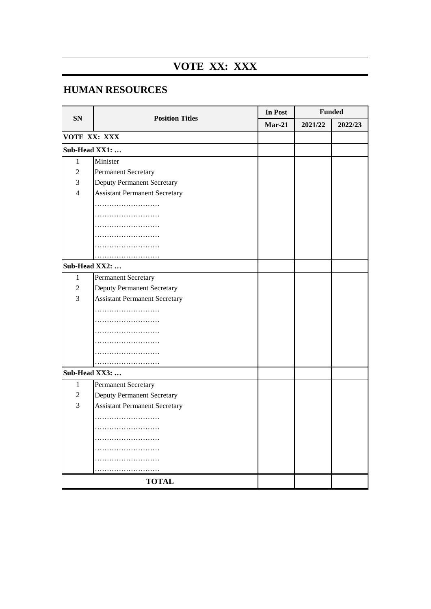# **VOTE XX: XXX**

# **HUMAN RESOURCES**

| <b>SN</b>      | <b>Position Titles</b>               | In Post  | <b>Funded</b> |         |  |  |
|----------------|--------------------------------------|----------|---------------|---------|--|--|
|                |                                      | $Mar-21$ | 2021/22       | 2022/23 |  |  |
| VOTE XX: XXX   |                                      |          |               |         |  |  |
| Sub-Head XX1:  |                                      |          |               |         |  |  |
| $\mathbf{1}$   | Minister                             |          |               |         |  |  |
| $\overline{2}$ | Permanent Secretary                  |          |               |         |  |  |
| $\mathfrak{Z}$ | <b>Deputy Permanent Secretary</b>    |          |               |         |  |  |
| $\overline{4}$ | <b>Assistant Permanent Secretary</b> |          |               |         |  |  |
|                | .                                    |          |               |         |  |  |
|                |                                      |          |               |         |  |  |
|                | .                                    |          |               |         |  |  |
|                |                                      |          |               |         |  |  |
|                |                                      |          |               |         |  |  |
|                |                                      |          |               |         |  |  |
| Sub-Head XX2:  |                                      |          |               |         |  |  |
| $\mathbf{1}$   | Permanent Secretary                  |          |               |         |  |  |
| $\overline{c}$ | <b>Deputy Permanent Secretary</b>    |          |               |         |  |  |
| 3              | <b>Assistant Permanent Secretary</b> |          |               |         |  |  |
|                | .                                    |          |               |         |  |  |
|                |                                      |          |               |         |  |  |
|                |                                      |          |               |         |  |  |
|                |                                      |          |               |         |  |  |
|                | .                                    |          |               |         |  |  |
|                |                                      |          |               |         |  |  |
| Sub-Head XX3:  |                                      |          |               |         |  |  |
| $\mathbf{1}$   | Permanent Secretary                  |          |               |         |  |  |
| $\overline{c}$ | <b>Deputy Permanent Secretary</b>    |          |               |         |  |  |
| 3              | <b>Assistant Permanent Secretary</b> |          |               |         |  |  |
|                |                                      |          |               |         |  |  |
|                |                                      |          |               |         |  |  |
|                |                                      |          |               |         |  |  |
|                |                                      |          |               |         |  |  |
|                |                                      |          |               |         |  |  |
|                |                                      |          |               |         |  |  |
|                | <b>TOTAL</b>                         |          |               |         |  |  |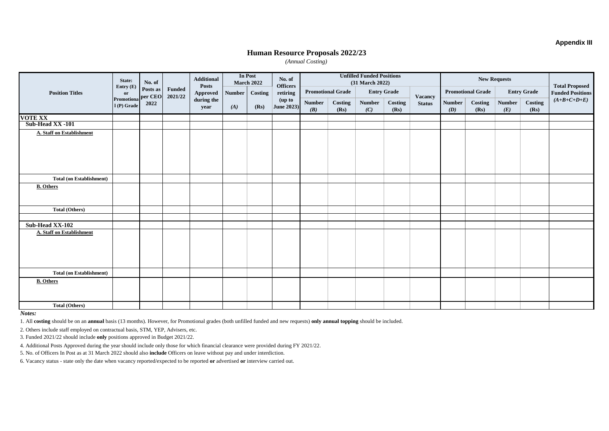#### **Appendix III**

#### **Human Resource Proposals 2022/23**

*(Annual Costing)*

|                                 | State:<br>No. of<br>Entry $(E)$ |                                           | In Post<br><b>Additional</b><br>No. of<br><b>March 2022</b><br><b>Posts</b><br><b>Officers</b> |                          | <b>Unfilled Funded Positions</b><br>(31 March 2022) |               |                      |                      | <b>New Requests</b> |                                                |                 |                | <b>Total Proposed</b>    |                 |                      |                 |                         |
|---------------------------------|---------------------------------|-------------------------------------------|------------------------------------------------------------------------------------------------|--------------------------|-----------------------------------------------------|---------------|----------------------|----------------------|---------------------|------------------------------------------------|-----------------|----------------|--------------------------|-----------------|----------------------|-----------------|-------------------------|
| <b>Position Titles</b>          | or                              | Posts as<br>per CEO<br>Promotiona<br>2022 |                                                                                                | <b>Funded</b><br>2021/22 | <b>Approved</b>                                     | <b>Number</b> | Costing              | retiring             |                     | <b>Promotional Grade</b><br><b>Entry Grade</b> |                 | <b>Vacancy</b> | <b>Promotional Grade</b> |                 | <b>Entry Grade</b>   |                 | <b>Funded Positions</b> |
|                                 | 1(P) Grade                      |                                           |                                                                                                | during the<br>year       | (A)                                                 | (Rs)          | (up to<br>June 2023) | <b>Number</b><br>(B) | Costing<br>(Rs)     | <b>Number</b><br>(C)                           | Costing<br>(Rs) | <b>Status</b>  | <b>Number</b><br>(D)     | Costing<br>(Rs) | <b>Number</b><br>(E) | Costing<br>(Rs) | $(A+B+C+D+E)$           |
| <b>VOTE XX</b>                  |                                 |                                           |                                                                                                |                          |                                                     |               |                      |                      |                     |                                                |                 |                |                          |                 |                      |                 |                         |
| Sub-Head XX -101                |                                 |                                           |                                                                                                |                          |                                                     |               |                      |                      |                     |                                                |                 |                |                          |                 |                      |                 |                         |
| A. Staff on Establishment       |                                 |                                           |                                                                                                |                          |                                                     |               |                      |                      |                     |                                                |                 |                |                          |                 |                      |                 |                         |
| <b>Total (on Establishment)</b> |                                 |                                           |                                                                                                |                          |                                                     |               |                      |                      |                     |                                                |                 |                |                          |                 |                      |                 |                         |
| <b>B.</b> Others                |                                 |                                           |                                                                                                |                          |                                                     |               |                      |                      |                     |                                                |                 |                |                          |                 |                      |                 |                         |
| <b>Total (Others)</b>           |                                 |                                           |                                                                                                |                          |                                                     |               |                      |                      |                     |                                                |                 |                |                          |                 |                      |                 |                         |
|                                 |                                 |                                           |                                                                                                |                          |                                                     |               |                      |                      |                     |                                                |                 |                |                          |                 |                      |                 |                         |
| Sub-Head XX-102                 |                                 |                                           |                                                                                                |                          |                                                     |               |                      |                      |                     |                                                |                 |                |                          |                 |                      |                 |                         |
| A. Staff on Establishment       |                                 |                                           |                                                                                                |                          |                                                     |               |                      |                      |                     |                                                |                 |                |                          |                 |                      |                 |                         |
| <b>Total (on Establishment)</b> |                                 |                                           |                                                                                                |                          |                                                     |               |                      |                      |                     |                                                |                 |                |                          |                 |                      |                 |                         |
| <b>B.</b> Others                |                                 |                                           |                                                                                                |                          |                                                     |               |                      |                      |                     |                                                |                 |                |                          |                 |                      |                 |                         |
| <b>Total (Others)</b>           |                                 |                                           |                                                                                                |                          |                                                     |               |                      |                      |                     |                                                |                 |                |                          |                 |                      |                 |                         |

*Notes:*

1. All **costing** should be on an **annual** basis (13 months). However, for Promotional grades (both unfilled funded and new requests) **only annual topping** should be included.

2. Others include staff employed on contractual basis, STM, YEP, Advisers, etc.

3. Funded 2021/22 should include **only** positions approved in Budget 2021/22.

4. Additional Posts Approved during the year should include only those for which financial clearance were provided during FY 2021/22.

5. No. of Officers In Post as at 31 March 2022 should also **include** Officers on leave without pay and under interdiction.

6. Vacancy status - state only the date when vacancy reported/expected to be reported **or** advertised **or** interview carried out.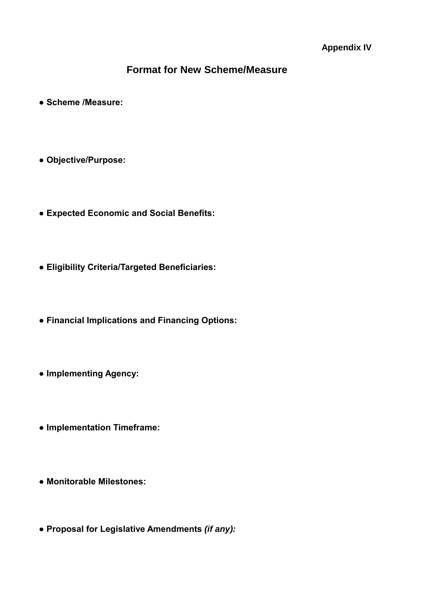# **Format for New Scheme/Measure**

- **Scheme /Measure:**
- **Objective/Purpose:**
- **Expected Economic and Social Benefits:**
- **Eligibility Criteria/Targeted Beneficiaries:**
- **Financial Implications and Financing Options:**
- **Implementing Agency:**
- **Implementation Timeframe:**
- **Monitorable Milestones:**
- **Proposal for Legislative Amendments** *(if any):*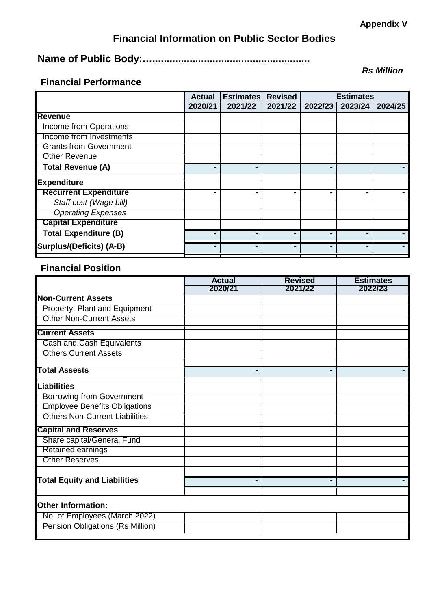# **Financial Information on Public Sector Bodies**

# **Name of Public Body:….......................................................**

## **Financial Performance**

|                               | <b>Revised</b><br><b>Estimates</b><br><b>Actual</b> |         | <b>Estimates</b> |         |         |                      |
|-------------------------------|-----------------------------------------------------|---------|------------------|---------|---------|----------------------|
|                               | 2020/21                                             | 2021/22 | 2021/22          | 2022/23 | 2023/24 | $202\overline{4/25}$ |
| <b>Revenue</b>                |                                                     |         |                  |         |         |                      |
| <b>Income from Operations</b> |                                                     |         |                  |         |         |                      |
| Income from Investments       |                                                     |         |                  |         |         |                      |
| <b>Grants from Government</b> |                                                     |         |                  |         |         |                      |
| <b>Other Revenue</b>          |                                                     |         |                  |         |         |                      |
| <b>Total Revenue (A)</b>      |                                                     | -       |                  |         |         |                      |
| <b>Expenditure</b>            |                                                     |         |                  |         |         |                      |
| <b>Recurrent Expenditure</b>  |                                                     |         |                  |         | -       |                      |
| Staff cost (Wage bill)        |                                                     |         |                  |         |         |                      |
| <b>Operating Expenses</b>     |                                                     |         |                  |         |         |                      |
| <b>Capital Expenditure</b>    |                                                     |         |                  |         |         |                      |
| <b>Total Expenditure (B)</b>  |                                                     |         |                  | -       | -       |                      |
| Surplus/(Deficits) (A-B)      |                                                     |         |                  |         | -       |                      |

## **Financial Position**

|                                         | <b>Actual</b> | <b>Revised</b> | <b>Estimates</b> |
|-----------------------------------------|---------------|----------------|------------------|
|                                         | 2020/21       | 2021/22        | 2022/23          |
| <b>Non-Current Assets</b>               |               |                |                  |
| Property, Plant and Equipment           |               |                |                  |
| <b>Other Non-Current Assets</b>         |               |                |                  |
| <b>Current Assets</b>                   |               |                |                  |
| Cash and Cash Equivalents               |               |                |                  |
| <b>Others Current Assets</b>            |               |                |                  |
| <b>Total Assests</b>                    | -             |                |                  |
| <b>Liabilities</b>                      |               |                |                  |
| <b>Borrowing from Government</b>        |               |                |                  |
| <b>Employee Benefits Obligations</b>    |               |                |                  |
| <b>Others Non-Current Liabilities</b>   |               |                |                  |
| <b>Capital and Reserves</b>             |               |                |                  |
| Share capital/General Fund              |               |                |                  |
| <b>Retained earnings</b>                |               |                |                  |
| <b>Other Reserves</b>                   |               |                |                  |
|                                         |               |                |                  |
| <b>Total Equity and Liabilities</b>     |               |                |                  |
|                                         |               |                |                  |
| <b>Other Information:</b>               |               |                |                  |
| No. of Employees (March 2022)           |               |                |                  |
| <b>Pension Obligations (Rs Million)</b> |               |                |                  |

*Rs Million*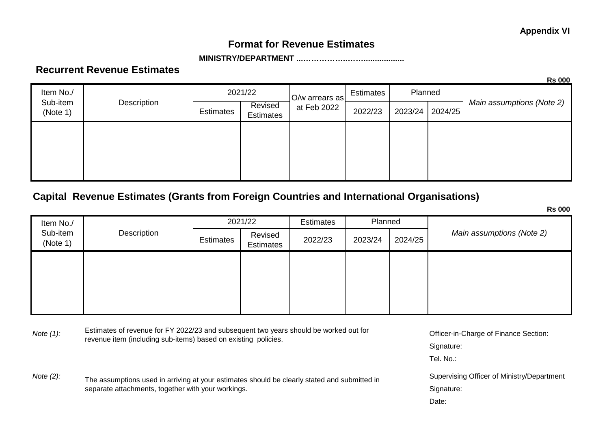## **Format for Revenue Estimates**

### **MINISTRY/DEPARTMENT ...……………..……..................**

### **Recurrent Revenue Estimates**

**Rs 000**

| Item No./            |             | 2021/22          |                             | O/w arrears as | <b>Estimates</b> | Planned |  |         |  |                 |                           |
|----------------------|-------------|------------------|-----------------------------|----------------|------------------|---------|--|---------|--|-----------------|---------------------------|
| Sub-item<br>(Note 1) | Description | <b>Estimates</b> | Revised<br><b>Estimates</b> | at Feb 2022    |                  |         |  | 2022/23 |  | 2023/24 2024/25 | Main assumptions (Note 2) |
|                      |             |                  |                             |                |                  |         |  |         |  |                 |                           |
|                      |             |                  |                             |                |                  |         |  |         |  |                 |                           |
|                      |             |                  |                             |                |                  |         |  |         |  |                 |                           |

# **Capital Revenue Estimates (Grants from Foreign Countries and International Organisations)**

**Rs 000** Estimates 2021/22 Planned Estimates  $\left| \begin{array}{c} \text{Revised} \\ - \end{array} \right|$ Estimates 2022/23 2023/24 2024/25 Item No./ Sub-item (Note 1) **Description** *Main assumptions (Note 2)*

Note (1): Estimates of revenue for FY 2022/23 and subsequent two years should be worked out for **Officer-in-Charge of Finance Section:**<br>Note (1): Estimates of revenue for FY 2022/23 and subsequent two years should be worke revenue item (including sub-items) based on existing policies.

Note (2): The assumptions used in arriving at your estimates should be clearly stated and submitted in Supervising Officer of Ministry/Department separate attachments, together with your workings.

Signature:

Tel. No.:

Signature:

Date: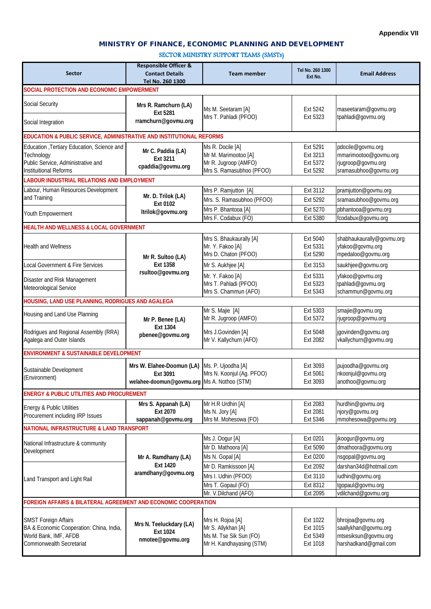### MINISTRY OF FINANCE, ECONOMIC PLANNING AND DEVELOPMENT  $S<sub>so</sub>$  (smsts)

| SECTOR MINISTRY SUPPORT TEAMS (SMSTs) |  |  |
|---------------------------------------|--|--|
|---------------------------------------|--|--|

|                                                                      | <b>Responsible Officer &amp;</b>            |                           |                             |                                        |  |
|----------------------------------------------------------------------|---------------------------------------------|---------------------------|-----------------------------|----------------------------------------|--|
| <b>Sector</b>                                                        | <b>Contact Details</b>                      | <b>Team member</b>        | Tel No. 260 1300<br>Ext No. | <b>Email Address</b>                   |  |
|                                                                      | Tel No. 260 1300                            |                           |                             |                                        |  |
| SOCIAL PROTECTION AND ECONOMIC EMPOWERMENT                           |                                             |                           |                             |                                        |  |
|                                                                      |                                             |                           |                             |                                        |  |
| Social Security                                                      | Mrs R. Ramchurn (LA)                        | Ms M. Seetaram [A]        | Ext 5242                    | maseetaram@govmu.org                   |  |
|                                                                      | Ext 5281                                    | Mrs T. Pahladi (PFOO)     | Ext 5323                    | tpahladi@govmu.org                     |  |
| Social Integration                                                   | rramchurn@govmu.org                         |                           |                             |                                        |  |
|                                                                      |                                             |                           |                             |                                        |  |
| EDUCATION & PUBLIC SERVICE, ADMINISTRATIVE AND INSTITUTIONAL REFORMS |                                             |                           |                             |                                        |  |
| Education , Tertiary Education, Science and                          | Mr C. Paddia (LA)                           | Ms R. Docile [A]          | Ext 5291                    | pdocile@govmu.org                      |  |
| Technology                                                           | Ext 3211                                    | Mr M. Marimootoo [A]      | Ext 3213                    | mmarimootoo@govmu.org                  |  |
| Public Service, Administrative and                                   | cpaddia@govmu.org                           | Mr R. Jugroop (AMFO)      | Ext 5372                    | rjugroop@govmu.org                     |  |
| <b>Instituitional Reforms</b>                                        |                                             | Mrs S. Ramasubhoo (PFOO)  | Ext 5292                    | sramasubhoo@govmu.org                  |  |
| LABOUR INDUSTRIAL RELATIONS AND EMPLOYMENT                           |                                             |                           |                             |                                        |  |
| Labour, Human Resources Development                                  |                                             | Mrs P. Ramjutton [A]      | Ext 3112                    | pramjutton@govmu.org                   |  |
| and Training                                                         | Mr. D. Trilok (LA)                          | Mrs. S. Ramasubhoo (PFOO) | Ext 5292                    | sramasubhoo@govmu.org                  |  |
|                                                                      | Ext 0102                                    | Mrs P. Bhantooa [A]       | Ext 5270                    | pbhantooa@govmu.org                    |  |
| Youth Empowerment                                                    | ltrilok@govmu.org                           | Mrs F. Codabux (FO)       | Ext 5380                    | fcodabux@govmu.org                     |  |
|                                                                      |                                             |                           |                             |                                        |  |
| <b>HEALTH AND WELLNESS &amp; LOCAL GOVERNMENT</b>                    |                                             |                           |                             |                                        |  |
|                                                                      |                                             | Mrs S. Bhaukaurally [A]   | Ext 5040                    | shabhaukaurally@govmu.org              |  |
| <b>Health and Wellness</b>                                           |                                             | Mr. Y. Fakoo [A]          | Ext 5331                    | yfakoo@govmu.org                       |  |
|                                                                      | Mr R. Sultoo (LA)                           | Mrs D. Chaton (PFOO)      | Ext 5290                    | mpedaloo@govmu.org                     |  |
| Local Government & Fire Services                                     | Ext 1358                                    | Mr S. Aukhjee [A]         | Ext 3153                    | saukhjee@govmu.org                     |  |
|                                                                      | rsultoo@govmu.org                           | Mr. Y. Fakoo [A]          | Ext 5331                    | yfakoo@govmu.org                       |  |
| Disaster and Risk Management                                         |                                             | Mrs T. Pahladi (PFOO)     | Ext 5323                    | tpahladi@govmu.org                     |  |
| Meteorological Service                                               |                                             | Mrs S. Chammun (AFO)      | Ext 5343                    | schammun@govmu.org                     |  |
| HOUSING, LAND USE PLANNING, RODRIGUES AND AGALEGA                    |                                             |                           |                             |                                        |  |
|                                                                      |                                             | Mr S. Majie [A]           |                             |                                        |  |
| Housing and Land Use Planning                                        |                                             | Mr R. Jugroop (AMFO)      | Ext 5303<br>Ext 5372        | smajie@govmu.org<br>rjugroop@govmu.org |  |
|                                                                      | Mr P. Benee (LA)<br>Ext 1304                |                           |                             |                                        |  |
| Rodrigues and Regional Assembly (RRA)                                | pbenee@govmu.org                            | Mrs J.Govinden [A]        | Ext 5048                    | jgovinden@govmu.org                    |  |
| Agalega and Outer Islands                                            |                                             | Mr V. Kallychurn (AFO)    | Ext 2082                    | vkallychurn@govmu.org                  |  |
| <b>ENVIRONMENT &amp; SUSTAINABLE DEVELOPMENT</b>                     |                                             |                           |                             |                                        |  |
|                                                                      |                                             |                           |                             |                                        |  |
| Sustainable Development                                              | Mrs W. Elahee-Doomun (LA)                   | Ms. P. Ujoodha [A]        | Ext 3093                    | pujoodha@govmu.org                     |  |
| (Environment)                                                        | Ext 3091                                    | Mrs N. Koonjul (Ag. PFOO) | Ext 5061                    | nkoonjul@govmu.org                     |  |
|                                                                      | welahee-doomun@govmu.org Ms A. Nothoo (STM) |                           | Ext 3093                    | anothoo@govmu.org                      |  |
| <b>ENERGY &amp; PUBLIC UTILITIES AND PROCUREMENT</b>                 |                                             |                           |                             |                                        |  |
|                                                                      | Mrs S. Appanah (LA)                         | Mr H.R Urdhin [A]         | Ext 2083                    | hurdhin@govmu.org                      |  |
| Energy & Public Utilities                                            | Ext 2070                                    | Ms N. Jory [A]            | Ext 2081                    | njory@govmu.org                        |  |
| Procurement including IRP Issues                                     | sappanah@govmu.org                          | Mrs M. Mohesowa (FO)      | Ext 5346                    | mmohesowa@govmu.org                    |  |
| NATIONAL INFRASTRUCTURE & LAND TRANSPORT                             |                                             |                           |                             |                                        |  |
|                                                                      |                                             |                           |                             |                                        |  |
| National Infrastructure & community                                  |                                             | Ms J. Oogur [A]           | Ext 0201                    | jkoogur@govmu.org                      |  |
| Development                                                          |                                             | Mr D. Mathoora [A]        | Ext 5090                    | dmathoora@govmu.org                    |  |
|                                                                      | Mr A. Ramdhany (LA)                         | Ms N. Gopal [A]           | Ext 0200                    | nsgopal@govmu.org                      |  |
|                                                                      | Ext 1420                                    | Mr D. Ramkissoon [A]      | Ext 2092                    | darshan34d@hotmail.com                 |  |
|                                                                      | aramdhany@govmu.org                         | Mrs I. Udhin (PFOO)       | Ext 3110                    | iudhin@govmu.org                       |  |
| Land Transport and Light Rail                                        |                                             | Mrs T. Gopaul (FO)        | Ext 8312                    | tgopaul@govmu.org                      |  |
|                                                                      |                                             | Mr. V.Dilchand (AFO)      | Ext 2095                    | vdilchand@govmu.org                    |  |
| FOREIGN AFFAIRS & BILATERAL AGREEMENT AND ECONOMIC COOPERATION       |                                             |                           |                             |                                        |  |
|                                                                      |                                             |                           |                             |                                        |  |
| <b>SMST Foreign Affairs</b>                                          |                                             | Mrs H. Rojoa [A]          | Ext 1022                    | bhrojoa@govmu.org                      |  |
| BA & Economic Cooperation: China, India,                             | Mrs N. Teeluckdary (LA)                     | Mr S. Allykhan [A]        | Ext 1015                    | saallykhan@govmu.org                   |  |
| World Bank, IMF, AFDB                                                | Ext 1024                                    | Ms M. Tse Sik Sun (FO)    | Ext 5349                    | mtsesiksun@govmu.org                   |  |
| Commonwealth Secretariat                                             | nmotee@govmu.org                            | Mr H. Kandhayasing (STM)  | Ext 1018                    | harshadkand@gmail.com                  |  |
|                                                                      |                                             |                           |                             |                                        |  |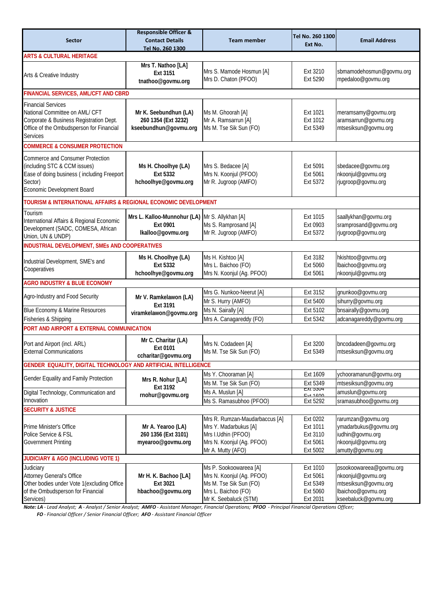|                                                                 | <b>Responsible Officer &amp;</b>               |                                                | Tel No. 260 1300            |                                        |  |
|-----------------------------------------------------------------|------------------------------------------------|------------------------------------------------|-----------------------------|----------------------------------------|--|
| <b>Sector</b>                                                   | <b>Contact Details</b>                         | <b>Team member</b>                             | Ext No.                     | <b>Email Address</b>                   |  |
|                                                                 | Tel No. 260 1300                               |                                                |                             |                                        |  |
| <b>ARTS &amp; CULTURAL HERITAGE</b>                             |                                                |                                                |                             |                                        |  |
|                                                                 | Mrs T. Nathoo [LA]                             |                                                |                             |                                        |  |
| Arts & Creative Industry                                        | Ext 3151                                       | Mrs S. Mamode Hosmun [A]                       | Ext 3210                    | sbmamodehosmun@govmu.org               |  |
|                                                                 | tnathoo@govmu.org                              | Mrs D. Chaton (PFOO)                           | Ext 5290                    | mpedaloo@govmu.org                     |  |
| FINANCIAL SERVICES, AML/CFT AND CBRD                            |                                                |                                                |                             |                                        |  |
| <b>Financial Services</b>                                       |                                                |                                                |                             |                                        |  |
| National Committee on AML/ CFT                                  | Mr K. Seebundhun (LA)                          | Ms M. Ghoorah [A]                              | Ext 1021                    | meramsamy@govmu.org                    |  |
| Corporate & Business Registration Dept.                         | 260 1354 (Ext 3232)                            | Mr A. Ramsarrun [A]                            | Ext 1012                    | aramsarrun@govmu.org                   |  |
| Office of the Ombudsperson for Financial                        | kseebundhun@govmu.org                          | Ms M. Tse Sik Sun (FO)                         | Ext 5349                    | mtsesiksun@govmu.org                   |  |
| Services                                                        |                                                |                                                |                             |                                        |  |
| <b>COMMERCE &amp; CONSUMER PROTECTION</b>                       |                                                |                                                |                             |                                        |  |
| Commerce and Consumer Protection                                |                                                |                                                |                             |                                        |  |
| (including STC & CCM issues)                                    | Ms H. Choolhye (LA)                            | Mrs S. Bedacee [A]                             | Ext 5091                    | sbedacee@govmu.org                     |  |
| Ease of doing business (including Freeport                      | Ext 5332                                       | Mrs N. Koonjul (PFOO)                          | Ext 5061                    | nkoonjul@govmu.org                     |  |
| Sector)                                                         | hchoolhye@govmu.org                            | Mr R. Jugroop (AMFO)                           | Ext 5372                    | rjugroop@govmu.org                     |  |
| Economic Development Board                                      |                                                |                                                |                             |                                        |  |
| TOURISM & INTERNATIONAL AFFAIRS & REGIONAL ECONOMIC DEVELOPMENT |                                                |                                                |                             |                                        |  |
| Tourism                                                         |                                                |                                                |                             |                                        |  |
| International Affairs & Regional Economic                       | Mrs L. Kalloo-Munnohur (LA) Mr S. Allykhan [A] |                                                | Ext 1015                    | saallykhan@govmu.org                   |  |
| Development (SADC, COMESA, African                              | Ext 0901                                       | Ms S. Ramprosand [A]                           | Ext 0903                    | sramprosand@govmu.org                  |  |
| Union, UN & UNDP)                                               | Ikalloo@govmu.org                              | Mr R. Jugroop (AMFO)                           | Ext 5372                    | rjugroop@govmu.org                     |  |
| INDUSTRIAL DEVELOPMENT, SMEs AND COOPERATIVES                   |                                                |                                                |                             |                                        |  |
|                                                                 | Ms H. Choolhye (LA)                            | Ms H. Kishtoo [A]                              | Ext 3182                    | hkishtoo@govmu.org                     |  |
| Industrial Development, SME's and                               | Ext 5332                                       | Mrs L. Baichoo (FO)                            | Ext 5060                    | lbaichoo@govmu.org                     |  |
| Cooperatives                                                    | hchoolhye@govmu.org                            | Mrs N. Koonjul (Ag. PFOO)                      | Ext 5061                    | nkoonjul@govmu.org                     |  |
| <b>AGRO INDUSTRY &amp; BLUE ECONOMY</b>                         |                                                |                                                |                             |                                        |  |
|                                                                 |                                                |                                                |                             |                                        |  |
| Agro-Industry and Food Security                                 | Mr V. Ramkelawon (LA)                          | Mrs G. Nunkoo-Neerut [A]                       | Ext 3152                    | gnunkoo@govmu.org                      |  |
|                                                                 | Ext 3191                                       | Mr S. Hurry (AMFO)                             | Ext 5400                    | sihurry@govmu.org                      |  |
| Blue Economy & Marine Resources                                 | viramkelawon@govmu.org                         | Ms N. Sairally [A]                             | Ext 5102                    | bnsairally@govmu.org                   |  |
| Fisheries & Shipping                                            |                                                | Mrs A. Canagareddy (FO)                        | Ext 5342                    | adcanagareddy@govmu.org                |  |
| PORT AND AIRPORT & EXTERNAL COMMUNICATION                       |                                                |                                                |                             |                                        |  |
| Port and Airport (incl. ARL)                                    | Mr C. Charitar (LA)                            | Mrs N. Codadeen [A]                            | Ext 3200                    | bncodadeen@govmu.org                   |  |
| <b>External Communications</b>                                  | Ext 0101                                       | Ms M. Tse Sik Sun (FO)                         | Ext 5349                    | mtsesiksun@govmu.org                   |  |
|                                                                 | ccharitar@govmu.org                            |                                                |                             |                                        |  |
| GENDER EQUALITY, DIGITAL TECHNOLOGY AND ARTIFICIAL INTELLIGENCE |                                                |                                                |                             |                                        |  |
| Gender Equality and Family Protection                           | Mrs R. Nohur [LA]                              | Ms Y. Chooraman [A]                            | Ext 1609                    | ychooramanun@govmu.org                 |  |
|                                                                 | Ext 3192                                       | Ms M. Tse Sik Sun (FO)                         | Ext 5349<br><b>EXI 3304</b> | mtsesiksun@govmu.org                   |  |
| Digital Technology, Communication and                           | rnohur@govmu.org                               | Ms A. Muslun [A]                               | $Evt$ 1400                  | amuslun@govmu.org                      |  |
| Innovation                                                      |                                                | Ms S. Ramasubhoo (PFOO)                        | Ext 5292                    | sramasubhoo@govmu.org                  |  |
| <b>SECURITY &amp; JUSTICE</b>                                   |                                                |                                                |                             |                                        |  |
|                                                                 |                                                | Mrs R. Rumzan-Maudarbaccus [A]                 | Ext 0202                    | rarumzan@govmu.org                     |  |
| Prime Minister's Office                                         | Mr A. Yearoo (LA)                              | Mrs Y. Madarbukus [A]                          | Ext 1011                    | ymadarbukus@govmu.org                  |  |
| Police Service & FSL                                            | 260 1356 (Ext 3101)                            | Mrs I.Udhin (PFOO)                             | Ext 3110                    | iudhin@govmu.org                       |  |
| <b>Government Printing</b>                                      | myearoo@govmu.org                              | Mrs N. Koonjul (Ag. PFOO)<br>Mr A. Mutty (AFO) | Ext 5061<br>Ext 5002        | nkoonjul@govmu.org<br>amutty@govmu.org |  |
| <b>JUDICIARY &amp; AGO (INCLUDING VOTE 1)</b>                   |                                                |                                                |                             |                                        |  |
| Judiciary                                                       |                                                | Ms P. Sookoowareea [A]                         | Ext 1010                    | psookoowareea@govmu.org                |  |
| Attorney General's Office                                       | Mr H. K. Bachoo [LA]                           | Mrs N. Koonjul (Ag. PFOO)                      | Ext 5061                    | nkoonjul@govmu.org                     |  |
| Other bodies under Vote 1 (excluding Office                     | Ext 3021                                       | Ms M. Tse Sik Sun (FO)                         | Ext 5349                    | mtsesiksun@govmu.org                   |  |
| of the Ombudsperson for Financial                               | hbachoo@govmu.org                              | Mrs L. Baichoo (FO)                            | Ext 5060                    | lbaichoo@govmu.org                     |  |
| Services)                                                       |                                                | Mr K. Seebaluck (STM)                          | Ext 2031                    | kseebaluck@govmu.org                   |  |

*Note: LA - Lead Analyst; A - Analyst / Senior Analyst; AMFO - Assistant Manager, Financial Operations; PFOO - Principal Financial Operations Officer;* 

 *FO - Financial Officer / Senior Financial Officer; AFO - Assistant Financial Officer*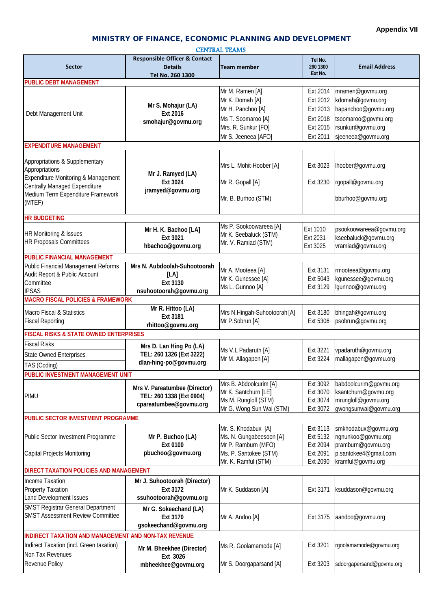### MINISTRY OF FINANCE, ECONOMIC PLANNING AND DEVELOPMENT

#### CENTRAL TEAMS

|                                                      | <b>Responsible Officer &amp; Contact</b> |                                                | Tel No.  |                                            |  |
|------------------------------------------------------|------------------------------------------|------------------------------------------------|----------|--------------------------------------------|--|
| <b>Sector</b>                                        | <b>Details</b>                           | <b>Team member</b>                             | 260 1300 | <b>Email Address</b>                       |  |
|                                                      | Tel No. 260 1300                         |                                                | Ext No.  |                                            |  |
| <b>PUBLIC DEBT MANAGEMENT</b>                        |                                          |                                                |          |                                            |  |
|                                                      |                                          | Mr M. Ramen [A]                                | Ext 2014 | mramen@govmu.org                           |  |
|                                                      |                                          | Mr K. Domah [A]                                | Ext 2012 | kdomah@govmu.org                           |  |
| Debt Management Unit                                 | Mr S. Mohajur (LA)<br>Ext 2016           | Mr H. Panchoo [A]                              | Ext 2013 | hapanchoo@govmu.org                        |  |
|                                                      | smohajur@govmu.org                       | Ms T. Soomaroo [A]                             | Ext 2018 | tsoomaroo@govmu.org                        |  |
|                                                      |                                          | Mrs. R. Sunkur [FO]                            | Ext 2015 | rsunkur@govmu.org                          |  |
|                                                      |                                          | Mr S. Jeeneea [AFO]                            | Ext 2011 | sjeeneea@govmu.org                         |  |
| <b>EXPENDITURE MANAGEMENT</b>                        |                                          |                                                |          |                                            |  |
|                                                      |                                          |                                                |          |                                            |  |
| Appropriations & Supplementary                       |                                          | Mrs L. Mohit-Hoober [A]                        | Ext 3023 | lhoober@govmu.org                          |  |
| Appropriations                                       | Mr J. Ramyed (LA)                        |                                                |          |                                            |  |
| Expenditure Monitoring & Management                  | Ext 3024                                 | Mr R. Gopall [A]                               | Ext 3230 | rgopall@govmu.org                          |  |
| Centrally Managed Expenditure                        | jramyed@govmu.org                        |                                                |          |                                            |  |
| Medium Term Expenditure Framework                    |                                          | Mr. B. Burhoo (STM)                            |          | bburhoo@govmu.org                          |  |
| (MTEF)                                               |                                          |                                                |          |                                            |  |
| <b>HR BUDGETING</b>                                  |                                          |                                                |          |                                            |  |
|                                                      |                                          | Ms P. Sookoowareea [A]                         |          |                                            |  |
| HR Monitoring & Issues                               | Mr H. K. Bachoo [LA]                     | Mr K. Seebaluck (STM)                          | Ext 1010 | psookoowareea@govmu.org                    |  |
| <b>HR Proposals Committees</b>                       | Ext 3021                                 | Mr. V. Ramiad (STM)                            | Ext 2031 | kseebaluck@govmu.org                       |  |
|                                                      | hbachoo@govmu.org                        |                                                | Ext 3025 | vramiad@govmu.org                          |  |
| <b>PUBLIC FINANCIAL MANAGEMENT</b>                   |                                          |                                                |          |                                            |  |
| Public Financial Management Reforms                  | Mrs N. Aubdoolah-Suhootoorah             | Mr A. Mooteea [A]                              | Ext 3131 | rmooteea@govmu.org                         |  |
| Audit Report & Public Account                        | [LA]                                     | Mr K. Gunessee [A]                             | Ext 5043 | kgunessee@govmu.org                        |  |
| Committee                                            | Ext 3130                                 | Ms L. Gunnoo [A]                               | Ext 3129 | lgunnoo@govmu.org                          |  |
| <b>IPSAS</b>                                         | nsuhootoorah@govmu.org                   |                                                |          |                                            |  |
| <b>MACRO FISCAL POLICIES &amp; FRAMEWORK</b>         |                                          |                                                |          |                                            |  |
| Macro Fiscal & Statistics                            | Mr R. Hittoo (LA)                        | Mrs N.Hingah-Suhootoorah [A]                   | Ext 3180 | bhingah@govmu.org                          |  |
| <b>Fiscal Reporting</b>                              | Ext 3181                                 | Mr P.Sobrun [A]                                | Ext 5306 | psobrun@govmu.org                          |  |
|                                                      | rhittoo@govmu.org                        |                                                |          |                                            |  |
| <b>FISCAL RISKS &amp; STATE OWNED ENTERPRISES</b>    |                                          |                                                |          |                                            |  |
| <b>Fiscal Risks</b>                                  | Mrs D. Lan Hing Po (LA)                  |                                                |          |                                            |  |
| <b>State Owned Enterprises</b>                       | TEL: 260 1326 (Ext 3222)                 | Ms V.L Padaruth [A]                            | Ext 3221 | vpadaruth@govmu.org                        |  |
| TAS (Coding)                                         | dlan-hing-po@govmu.org                   | Mr M. Allagapen [A]                            | Ext 3224 | mallagapen@govmu.org                       |  |
| PUBLIC INVESTMENT MANAGEMENT UNIT                    |                                          |                                                |          |                                            |  |
|                                                      |                                          | Mrs B. Abdoolcurim [A]                         | Ext 3092 | babdoolcurim@govmu.org                     |  |
|                                                      | Mrs V. Pareatumbee (Director)            | Mr K. Santchurn [LE]                           | Ext 3070 | ksantchurn@govmu.org                       |  |
| PIMU                                                 | TEL: 260 1338 (Ext 0904)                 | Ms M. Rungloll (STM)                           | Ext 3074 | mrungloll@govmu.org                        |  |
|                                                      | cpareatumbee@govmu.org                   | Mr G. Wong Sun Wai (STM)                       | Ext 3072 | gwongsunwai@govmu.org                      |  |
| PUBLIC SECTOR INVESTMENT PROGRAMME                   |                                          |                                                |          |                                            |  |
|                                                      |                                          |                                                | Ext 3113 |                                            |  |
|                                                      |                                          | Mr. S. Khodabux [A]<br>Ms. N. Gungabeesoon [A] | Ext 5132 | smkhodabux@govmu.org<br>ngnunkoo@govmu.org |  |
| Public Sector Investment Programme                   | Mr P. Buchoo (LA)<br>Ext 0100            | Mr P. Ramburn (MFO)                            | Ext 2094 | pramburn@govmu.org                         |  |
| Capital Projects Monitoring                          | pbuchoo@govmu.org                        | Ms. P. Santokee (STM)                          | Ext 2091 | p.santokee4@gmail.com                      |  |
|                                                      |                                          | Mr. K. Ramful (STM)                            | Ext 2090 | kramful@govmu.org                          |  |
| DIRECT TAXATION POLICIES AND MANAGEMENT              |                                          |                                                |          |                                            |  |
|                                                      |                                          |                                                |          |                                            |  |
| Income Taxation                                      | Mr J. Suhootoorah (Director)             |                                                |          |                                            |  |
| <b>Property Taxation</b>                             | Ext 3172                                 | Mr K. Suddason [A]                             | Ext 3171 | ksuddason@govmu.org                        |  |
| Land Development Issues                              | ssuhootoorah@govmu.org                   |                                                |          |                                            |  |
| <b>SMST Registrar General Department</b>             | Mr G. Sokeechand (LA)                    |                                                |          |                                            |  |
| <b>SMST Assessment Review Committee</b>              | Ext 3170                                 | Mr A. Andoo [A]                                | Ext 3175 | aandoo@govmu.org                           |  |
|                                                      | gsokeechand@govmu.org                    |                                                |          |                                            |  |
| INDIRECT TAXATION AND MANAGEMENT AND NON-TAX REVENUE |                                          |                                                |          |                                            |  |
| Indirect Taxation (incl. Green taxation)             | Mr M. Bheekhee (Director)                | Ms R. Goolamamode [A]                          | Ext 3201 | rgoolamamode@govmu.org                     |  |
| Non Tax Revenues                                     | Ext 3026                                 |                                                |          |                                            |  |
| Revenue Policy                                       | mbheekhee@govmu.org                      | Mr S. Doorgaparsand [A]                        | Ext 3203 | sdoorgapersand@govmu.org                   |  |
|                                                      |                                          |                                                |          |                                            |  |